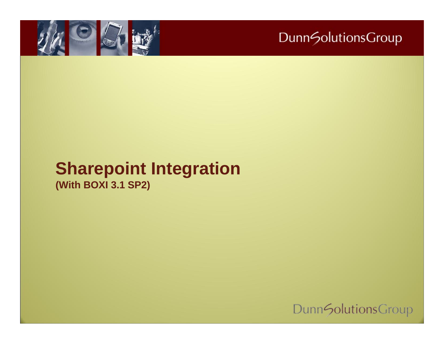

#### **Sharepoint Integration (With BOXI 3.1 SP2)**

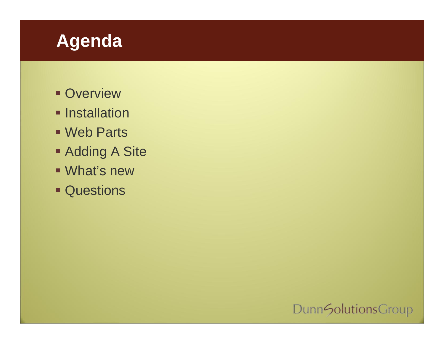## **Agenda**

- **Overview**
- **Installation**
- Web Parts
- **Adding A Site**
- What's new
- **Cuestions**

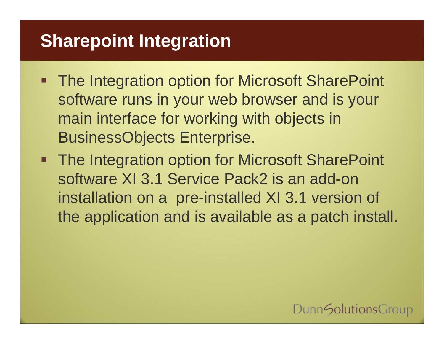## **Sharepoint Integration**

- **The Integration option for Microsoft SharePoint** software runs in your web browser and is your main interface for working with objects in BusinessObjects Enterprise.
- **The Integration option for Microsoft SharePoint** software XI 3.1 Service Pack2 is an add-on installation on a pre-installed XI 3.1 version of the application and is available as a patch install.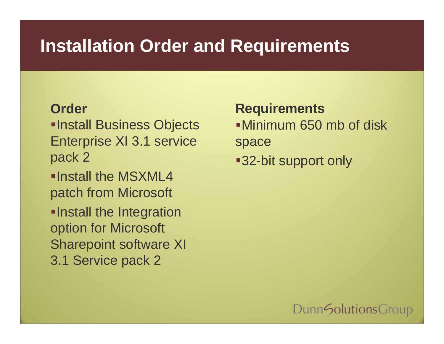## **Installation Order and Requirements**

#### **Order**

**Install Business Objects** Enterprise XI 3.1 service pack 2

Install the MSXML4 patch from Microsoft

**Install the Integration** option for Microsoft Sharepoint software XI 3.1 Service pack 2

**Requirements** Minimum 650 mb of disk space ■32-bit support only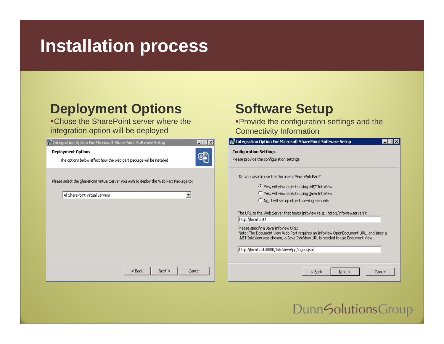## **Installation process**

#### **Deployment Options**

Chose the SharePoint server where the integration option will be deployed

| $ \Box$ $\times$<br>is Integration Option For Microsoft SharePoint Software Setup                                         | ire Integr                                        |
|---------------------------------------------------------------------------------------------------------------------------|---------------------------------------------------|
| <b>Deployment Options</b><br>ை<br>The options below affect how the web part package will be installed                     | Configur<br>Please pr                             |
| Please select the SharePoint Virtual Server you wish to deploy the Web Part Package to:<br>All SharePoint Virtual Servers | Do yo                                             |
|                                                                                                                           | The U<br>http:<br>Pleas<br>Note:<br>.NET<br>http: |
| Next<br>Cancel<br>$<$ Back                                                                                                |                                                   |

#### **Software Setup**

Provide the configuration settings and the Connectivity Information

| <b>Configuration Settings</b>                           |                                                                                     |  |  |  |  |  |
|---------------------------------------------------------|-------------------------------------------------------------------------------------|--|--|--|--|--|
| Please provide the configuration settings               |                                                                                     |  |  |  |  |  |
| Do you wish to use the Document View Web Part?          |                                                                                     |  |  |  |  |  |
| <sup>6</sup> Yes, will view objects using .NET InfoView |                                                                                     |  |  |  |  |  |
|                                                         | <sup>C</sup> Yes, will view objects using Java InfoView                             |  |  |  |  |  |
| Mo, I will set up object viewing manually               |                                                                                     |  |  |  |  |  |
| http://localhost/                                       | The URL to the Web Server that hosts InfoView (e.g., http://infoviewserver/):       |  |  |  |  |  |
| Please specify a Java InfoView URL:                     | Note: The Document View Web Part requires an InfoView OpenDocument URL, and since a |  |  |  |  |  |
|                                                         | .NET InfoView was chosen, a Java InfoView URL is needed to use Document View.       |  |  |  |  |  |
| http://localhost:8080/InfoViewApp/logon.jsp             |                                                                                     |  |  |  |  |  |
|                                                         |                                                                                     |  |  |  |  |  |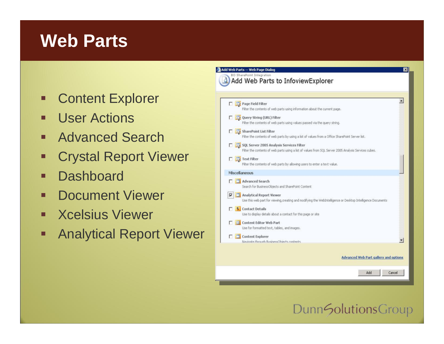## **Web Parts**

- Content Explorer
- ш User Actions
- п Advanced Search
- П Crystal Report Viewer
- п **Dashboard**
- П Document Viewer
- п Xcelsius Viewer
- $\blacksquare$ Analytical Report Viewer

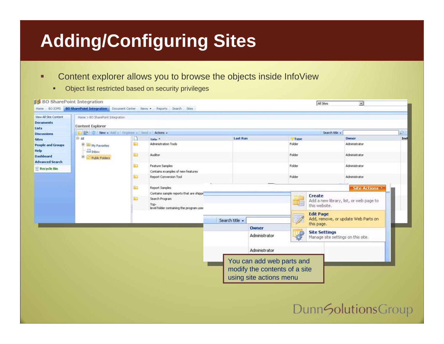# **Adding/Configuring Sites**

- ٠ Content explorer allows you to browse the objects inside InfoView
	- $\blacksquare$ Object list restricted based on security privileges

| View All Site Content<br><b>Documents</b><br>Lists | Home > BO SharePoint Integration<br><b>Content Explorer</b>                 |    |                                                                                                                                 |                 |                                                                                       |                         |                                     |                                                         |      |
|----------------------------------------------------|-----------------------------------------------------------------------------|----|---------------------------------------------------------------------------------------------------------------------------------|-----------------|---------------------------------------------------------------------------------------|-------------------------|-------------------------------------|---------------------------------------------------------|------|
| <b>Discussions</b>                                 | Search title +<br><b>Cold Collinber - Add - Organize - Send - Actions -</b> |    |                                                                                                                                 |                 |                                                                                       |                         | P                                   |                                                         |      |
| <b>Sites</b>                                       | <b>B</b> All                                                                | Ш  | Title. <sup>4</sup>                                                                                                             | <b>Last Run</b> |                                                                                       | Type                    |                                     | Owner                                                   | Inst |
| <b>People and Groups</b><br>Help                   | <b>B</b> My Favorites<br>Inbow                                              | Ð  | Administration Tools                                                                                                            |                 |                                                                                       | Folder                  |                                     | Administrator                                           |      |
| <b>Dashboard</b><br><b>Advanced Search</b>         | 曲<br>Public Folders                                                         | œ  | Auditor                                                                                                                         |                 |                                                                                       | Folder                  |                                     | Administrator                                           |      |
| <b>Recycle Bin</b>                                 |                                                                             | 脑  | Feature Samples<br>Contains examples of new features                                                                            |                 |                                                                                       | Folder                  |                                     | Administrator                                           |      |
|                                                    |                                                                             | ъū | Report Conversion Tool                                                                                                          |                 |                                                                                       | Folder                  |                                     | Administrator                                           |      |
|                                                    | €                                                                           |    | Report Samples<br>Contains sample reports that are shippe<br>Search Program<br>Top-<br>level folder containing the program used |                 |                                                                                       | Create<br>this website. |                                     | Site Actions<br>Add a new library, list, or web page to |      |
|                                                    |                                                                             |    | Search title -                                                                                                                  | <b>Owner</b>    | <b>Edit Page</b><br>this page.                                                        |                         | Add, remove, or update Web Parts on |                                                         |      |
|                                                    |                                                                             |    |                                                                                                                                 |                 | Administrator                                                                         |                         | <b>Site Settings</b>                | Manage site settings on this site.                      |      |
|                                                    |                                                                             |    |                                                                                                                                 |                 | Administrator                                                                         |                         |                                     |                                                         |      |
|                                                    |                                                                             |    |                                                                                                                                 |                 | You can add web parts and<br>modify the contents of a site<br>using site actions menu |                         |                                     |                                                         |      |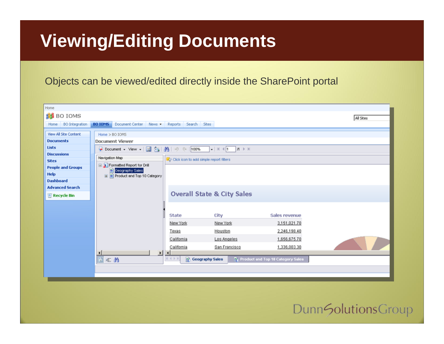# **Viewing/Editing Documents**

#### Objects can be viewed/edited directly inside the SharePoint portal

| Home                     |                                                                                                                      |               |               |               |           |  |
|--------------------------|----------------------------------------------------------------------------------------------------------------------|---------------|---------------|---------------|-----------|--|
| <b>BO IOMS</b>           |                                                                                                                      |               |               |               | All Sites |  |
| Home BO Integration      | Document Center News - Reports Search Sites<br><b>BO IOMS</b>                                                        |               |               |               |           |  |
| View All Site Content    |                                                                                                                      |               |               |               |           |  |
| <b>Documents</b>         | Home > BO IOMS<br>Document Viewer                                                                                    |               |               |               |           |  |
| <b>Lists</b>             |                                                                                                                      |               |               |               |           |  |
| <b>Discussions</b>       | ● Document - View -   ■ 23   船   9 (*   100%<br>Navigation Map<br><b>R</b> P Click icon to add simple report filters |               |               |               |           |  |
| <b>Sites</b>             |                                                                                                                      |               |               |               |           |  |
| <b>People and Groups</b> | Formatted Report for Drill                                                                                           |               |               |               |           |  |
| Help                     | Geography Sales<br>E Product and Top 10 Category                                                                     |               |               |               |           |  |
| <b>Dashboard</b>         |                                                                                                                      |               |               |               |           |  |
| <b>Advanced Search</b>   |                                                                                                                      |               |               |               |           |  |
| Recycle Bin              | <b>Overall State &amp; City Sales</b>                                                                                |               |               |               |           |  |
|                          |                                                                                                                      |               |               |               |           |  |
|                          |                                                                                                                      |               |               |               |           |  |
|                          |                                                                                                                      | State         | City          | Sales revenue |           |  |
|                          |                                                                                                                      | New York      | New York      | 3,151,021.70  |           |  |
|                          |                                                                                                                      | Texas         | Houston       | 2,246,198.40  |           |  |
|                          |                                                                                                                      | California    | Los Angeles   | 1,656,675.70  |           |  |
|                          |                                                                                                                      | California    | San Francisco | 1,336,003.30  |           |  |
|                          | $\left  \cdot \right $<br>٠                                                                                          | $\vert \vert$ |               |               |           |  |
|                          | 日汇品<br>Geography Sales<br><b>R</b> Product and Top 10 Category Sales<br>$M \leftarrow P$                             |               |               |               |           |  |
|                          |                                                                                                                      |               |               |               |           |  |
|                          |                                                                                                                      |               |               |               |           |  |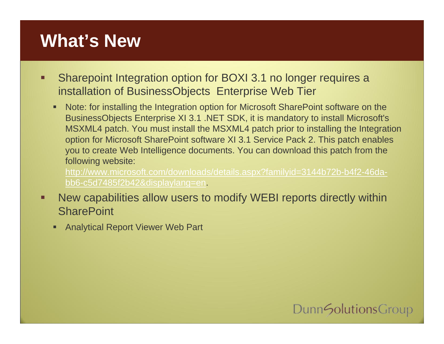# **What's New**

- п Sharepoint Integration option for BOXI 3.1 no longer requires a installation of BusinessObjects Enterprise Web Tier
	- п Note: for installing the Integration option for Microsoft SharePoint software on the BusinessObjects Enterprise XI 3.1 .NET SDK, it is mandatory to install Microsoft's MSXML4 patch. You must install the MSXML4 patch prior to installing the Integration option for Microsoft SharePoint software XI 3.1 Service Pack 2. This patch enables you to create Web Intelligence documents. You can download this patch from the following website:

[http://www.microsoft.com/downloads/details.aspx?familyid=3144b72b-b4f2-46da](http://www.microsoft.com/downloads/details.aspx?familyid=3144b72b-b4f2-46da-bb6-c5d7485f2b42&displaylang=en)[bb6-c5d7485f2b42&displaylang=en](http://www.microsoft.com/downloads/details.aspx?familyid=3144b72b-b4f2-46da-bb6-c5d7485f2b42&displaylang=en).

- П New capabilities allow users to modify WEBI reports directly within **SharePoint** 
	- Г Analytical Report Viewer Web Part